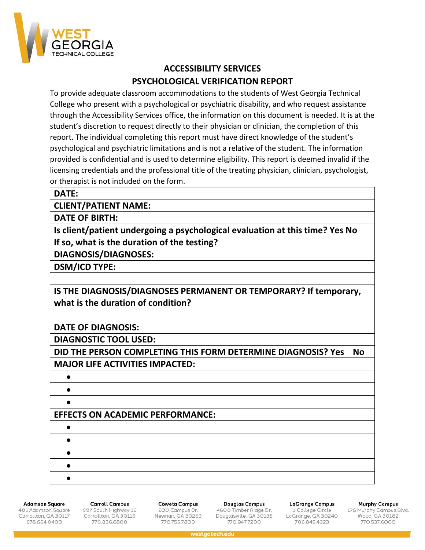

# **ACCESSIBILITY SERVICES PSYCHOLOGICAL VERIFICATION REPORT**

To provide adequate classroom accommodations to the students of West Georgia Technical College who present with a psychological or psychiatric disability, and who request assistance through the Accessibility Services office, the information on this document is needed. It is at the student's discretion to request directly to their physician or clinician, the completion of this report. The individual completing this report must have direct knowledge of the student's psychological and psychiatric limitations and is not a relative of the student. The information provided is confidential and is used to determine eligibility. This report is deemed invalid if the licensing credentials and the professional title of the treating physician, clinician, psychologist, or therapist is not included on the form.

### **DATE:**

**CLIENT/PATIENT NAME:**

**DATE OF BIRTH:**

**Is client/patient undergoing a psychological evaluation at this time? Yes No If so, what is the duration of the testing?**

**DIAGNOSIS/DIAGNOSES:**

**DSM/ICD TYPE:**

**IS THE DIAGNOSIS/DIAGNOSES PERMANENT OR TEMPORARY? If temporary, what is the duration of condition?**

## **DATE OF DIAGNOSIS:**

**DIAGNOSTIC TOOL USED:** 

**DID THE PERSON COMPLETING THIS FORM DETERMINE DIAGNOSIS? Yes No MAJOR LIFE ACTIVITIES IMPACTED:**

# • • • **EFFECTS ON ACADEMIC PERFORMANCE:** • • • • •

### **Adamson Square**

401 Adamson Square Carrollton, GA 30117 678.664.0400

#### **Carroll Campus** 997 South Highway 16 Carrollton, GA 30116 770.836.6800

**Coweta Campus** 200 Campus Dr. Newnan, GA 30263 770.755.7800

Douglas Campus 4600 Timber Ridge Dr. Douglasville, GA 30135 770,947,7200

**LaGrange Campus** 1 College Circle LaGrange, GA 30240 706.845.4323

**Murphy Campus** 

176 Murphy Campus Blvd.<br>Waco, GA 30182 770.537.6000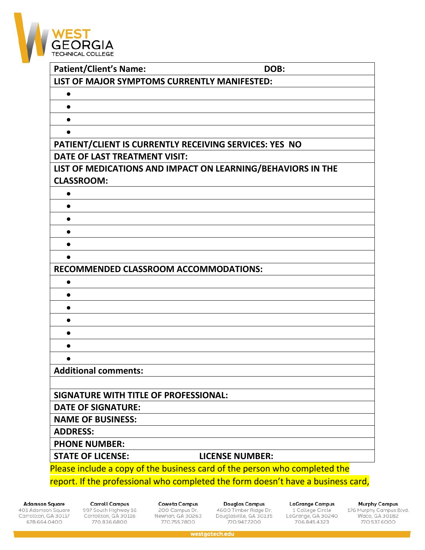

| <b>Patient/Client's Name:</b>                                                    | DOB:                                                                       |
|----------------------------------------------------------------------------------|----------------------------------------------------------------------------|
| LIST OF MAJOR SYMPTOMS CURRENTLY MANIFESTED:                                     |                                                                            |
|                                                                                  |                                                                            |
|                                                                                  |                                                                            |
|                                                                                  |                                                                            |
|                                                                                  |                                                                            |
| PATIENT/CLIENT IS CURRENTLY RECEIVING SERVICES: YES NO                           |                                                                            |
| DATE OF LAST TREATMENT VISIT:                                                    |                                                                            |
| LIST OF MEDICATIONS AND IMPACT ON LEARNING/BEHAVIORS IN THE                      |                                                                            |
| <b>CLASSROOM:</b>                                                                |                                                                            |
|                                                                                  |                                                                            |
|                                                                                  |                                                                            |
|                                                                                  |                                                                            |
|                                                                                  |                                                                            |
|                                                                                  |                                                                            |
| ●                                                                                |                                                                            |
| <b>RECOMMENDED CLASSROOM ACCOMMODATIONS:</b>                                     |                                                                            |
| ●                                                                                |                                                                            |
|                                                                                  |                                                                            |
|                                                                                  |                                                                            |
|                                                                                  |                                                                            |
|                                                                                  |                                                                            |
|                                                                                  |                                                                            |
|                                                                                  |                                                                            |
| <b>Additional comments:</b>                                                      |                                                                            |
|                                                                                  |                                                                            |
| SIGNATURE WITH TITLE OF PROFESSIONAL:                                            |                                                                            |
| <b>DATE OF SIGNATURE:</b>                                                        |                                                                            |
| <b>NAME OF BUSINESS:</b>                                                         |                                                                            |
| <b>ADDRESS:</b>                                                                  |                                                                            |
| <b>PHONE NUMBER:</b>                                                             |                                                                            |
| <b>STATE OF LICENSE:</b>                                                         | <b>LICENSE NUMBER:</b>                                                     |
|                                                                                  | Please include a copy of the business card of the person who completed the |
| report. If the professional who completed the form doesn't have a business card, |                                                                            |

**Adamson Square** 

401 Adamson Square<br>Carrollton, GA 30117 678.664.0400

**Carroll Campus** 997 South Highway 16<br>Carrollton, GA 30116 770.836.6800

**Coweta Campus** 200 Campus Dr.<br>Newnan, GA 30263 770.755.7800

**Douglas Campus** 4600 Timber Ridge Dr.<br>Douglasville, GA 30135 770.947.7200

**LaGrange Campus** 1 College Circle<br>LaGrange, GA 30240 706.845.4323

**Murphy Campus** 

176 Murphy Campus Blvd.<br>Waco, GA 30182<br>770.537.6000

westgatech.edu